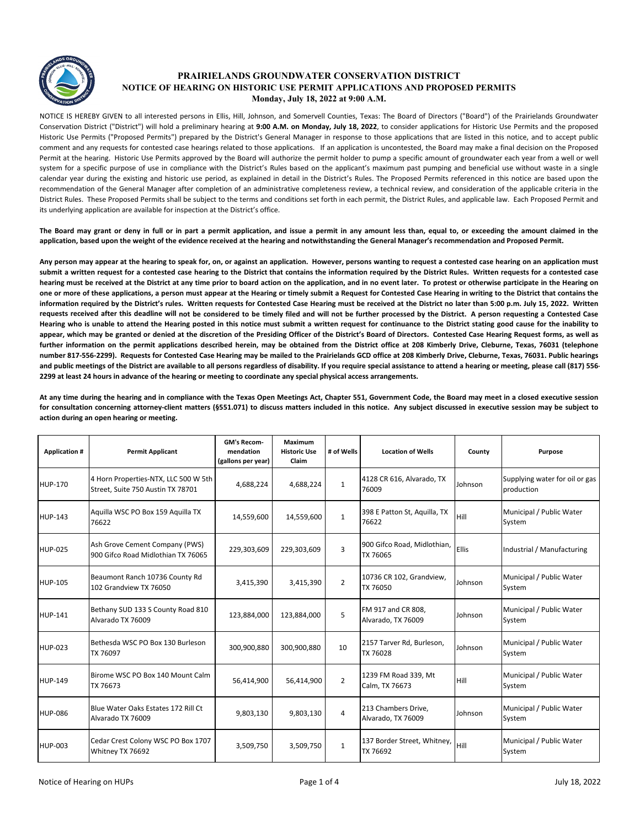

## **PRAIRIELANDS GROUNDWATER CONSERVATION DISTRICT NOTICE OF HEARING ON HISTORIC USE PERMIT APPLICATIONS AND PROPOSED PERMITS Monday, July 18, 2022 at 9:00 A.M.**

NOTICE IS HEREBY GIVEN to all interested persons in Ellis, Hill, Johnson, and Somervell Counties, Texas: The Board of Directors ("Board") of the Prairielands Groundwater Conservation District ("District") will hold a preliminary hearing at **9:00 A.M. on Monday, July 18, 2022**, to consider applications for Historic Use Permits and the proposed Historic Use Permits ("Proposed Permits") prepared by the District's General Manager in response to those applications that are listed in this notice, and to accept public comment and any requests for contested case hearings related to those applications. If an application is uncontested, the Board may make a final decision on the Proposed Permit at the hearing. Historic Use Permits approved by the Board will authorize the permit holder to pump a specific amount of groundwater each year from a well or well system for a specific purpose of use in compliance with the District's Rules based on the applicant's maximum past pumping and beneficial use without waste in a single calendar year during the existing and historic use period, as explained in detail in the District's Rules. The Proposed Permits referenced in this notice are based upon the recommendation of the General Manager after completion of an administrative completeness review, a technical review, and consideration of the applicable criteria in the District Rules. These Proposed Permits shall be subject to the terms and conditions set forth in each permit, the District Rules, and applicable law. Each Proposed Permit and its underlying application are available for inspection at the District's office.

The Board may grant or deny in full or in part a permit application, and issue a permit in any amount less than, equal to, or exceeding the amount claimed in the **application, based upon the weight of the evidence received at the hearing and notwithstanding the General Manager's recommendation and Proposed Permit.**

Any person may appear at the hearing to speak for, on, or against an application. However, persons wanting to request a contested case hearing on an application must submit a written request for a contested case hearing to the District that contains the information required by the District Rules. Written requests for a contested case hearing must be received at the District at any time prior to board action on the application, and in no event later. To protest or otherwise participate in the Hearing on one or more of these applications, a person must appear at the Hearing or timely submit a Request for Contested Case Hearing in writing to the District that contains the information required by the District's rules. Written requests for Contested Case Hearing must be received at the District no later than 5:00 p.m. July 15, 2022. Written requests received after this deadline will not be considered to be timely filed and will not be further processed by the District. A person requesting a Contested Case Hearing who is unable to attend the Hearing posted in this notice must submit a written request for continuance to the District stating good cause for the inability to appear, which may be granted or denied at the discretion of the Presiding Officer of the District's Board of Directors. Contested Case Hearing Request forms, as well as further information on the permit applications described herein, may be obtained from the District office at 208 Kimberly Drive, Cleburne, Texas, 76031 (telephone number 817-556-2299). Requests for Contested Case Hearing may be mailed to the Prairielands GCD office at 208 Kimberly Drive, Cleburne, Texas, 76031. Public hearings and public meetings of the District are available to all persons regardless of disability. If you require special assistance to attend a hearing or meeting, please call (817) 556-**2299 at least 24 hours in advance of the hearing or meeting to coordinate any special physical access arrangements.**

At any time during the hearing and in compliance with the Texas Open Meetings Act, Chapter 551, Government Code, the Board may meet in a closed executive session for consultation concerning attorney-client matters (§551.071) to discuss matters included in this notice. Any subject discussed in executive session may be subject to **action during an open hearing or meeting.**

| <b>Application #</b> | <b>Permit Applicant</b>                                                   | GM's Recom-<br>mendation<br>(gallons per year) | Maximum<br><b>Historic Use</b><br>Claim | # of Wells     | <b>Location of Wells</b>                  | County  | Purpose                                      |
|----------------------|---------------------------------------------------------------------------|------------------------------------------------|-----------------------------------------|----------------|-------------------------------------------|---------|----------------------------------------------|
| <b>HUP-170</b>       | 4 Horn Properties-NTX, LLC 500 W 5th<br>Street, Suite 750 Austin TX 78701 | 4,688,224                                      | 4,688,224                               | $\mathbf{1}$   | 4128 CR 616, Alvarado, TX<br>76009        | Johnson | Supplying water for oil or gas<br>production |
| <b>HUP-143</b>       | Aquilla WSC PO Box 159 Aquilla TX<br>76622                                | 14,559,600                                     | 14,559,600                              | $\mathbf{1}$   | 398 E Patton St, Aquilla, TX<br>76622     | Hill    | Municipal / Public Water<br>System           |
| <b>HUP-025</b>       | Ash Grove Cement Company (PWS)<br>900 Gifco Road Midlothian TX 76065      | 229,303,609                                    | 229,303,609                             | 3              | 900 Gifco Road, Midlothian,<br>TX 76065   | Ellis   | Industrial / Manufacturing                   |
| <b>HUP-105</b>       | Beaumont Ranch 10736 County Rd<br>102 Grandview TX 76050                  | 3,415,390                                      | 3,415,390                               | $\overline{2}$ | 10736 CR 102, Grandview,<br>TX 76050      | Johnson | Municipal / Public Water<br>System           |
| <b>HUP-141</b>       | Bethany SUD 133 S County Road 810<br>Alvarado TX 76009                    | 123,884,000                                    | 123,884,000                             | 5              | FM 917 and CR 808,<br>Alvarado, TX 76009  | Johnson | Municipal / Public Water<br>System           |
| <b>HUP-023</b>       | Bethesda WSC PO Box 130 Burleson<br>TX 76097                              | 300,900,880                                    | 300,900,880                             | 10             | 2157 Tarver Rd, Burleson,<br>TX 76028     | Johnson | Municipal / Public Water<br>System           |
| <b>HUP-149</b>       | Birome WSC PO Box 140 Mount Calm<br>TX 76673                              | 56,414,900                                     | 56,414,900                              | $\overline{2}$ | 1239 FM Road 339, Mt<br>Calm, TX 76673    | Hill    | Municipal / Public Water<br>System           |
| <b>HUP-086</b>       | Blue Water Oaks Estates 172 Rill Ct<br>Alvarado TX 76009                  | 9,803,130                                      | 9,803,130                               | $\overline{4}$ | 213 Chambers Drive,<br>Alvarado, TX 76009 | Johnson | Municipal / Public Water<br>System           |
| <b>HUP-003</b>       | Cedar Crest Colony WSC PO Box 1707<br>Whitney TX 76692                    | 3,509,750                                      | 3,509,750                               | $\mathbf{1}$   | 137 Border Street, Whitney,<br>TX 76692   | Hill    | Municipal / Public Water<br>System           |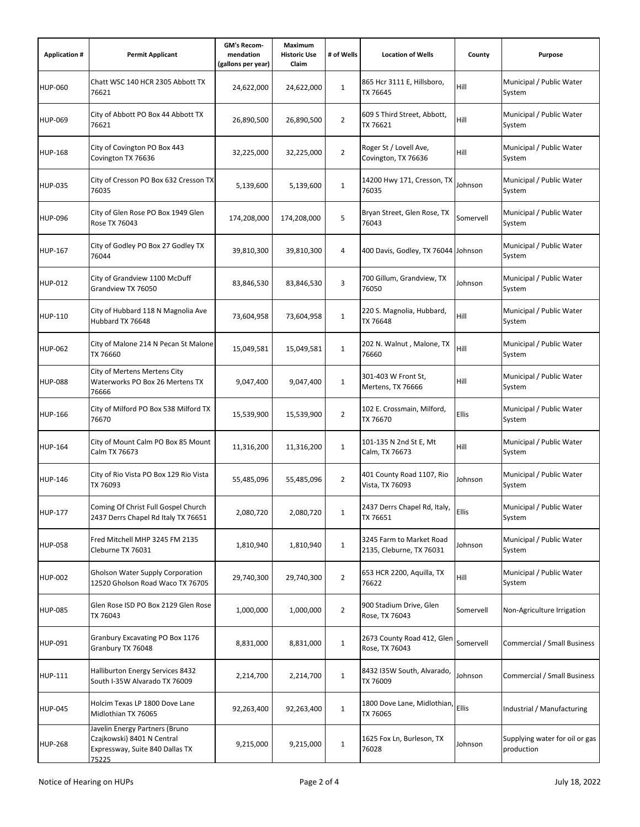| <b>Application #</b> | <b>Permit Applicant</b>                                                                                  | <b>GM's Recom-</b><br>mendation<br>(gallons per year) | <b>Maximum</b><br><b>Historic Use</b><br>Claim | # of Wells     | <b>Location of Wells</b>                             | County       | Purpose                                      |
|----------------------|----------------------------------------------------------------------------------------------------------|-------------------------------------------------------|------------------------------------------------|----------------|------------------------------------------------------|--------------|----------------------------------------------|
| <b>HUP-060</b>       | Chatt WSC 140 HCR 2305 Abbott TX<br>76621                                                                | 24,622,000                                            | 24,622,000                                     | $\mathbf{1}$   | 865 Hcr 3111 E, Hillsboro,<br>TX 76645               | Hill         | Municipal / Public Water<br>System           |
| <b>HUP-069</b>       | City of Abbott PO Box 44 Abbott TX<br>76621                                                              | 26,890,500                                            | 26,890,500                                     | 2              | 609 S Third Street, Abbott,<br>TX 76621              | Hill         | Municipal / Public Water<br>System           |
| <b>HUP-168</b>       | City of Covington PO Box 443<br>Covington TX 76636                                                       | 32,225,000                                            | 32,225,000                                     | $\overline{2}$ | Roger St / Lovell Ave,<br>Covington, TX 76636        | Hill         | Municipal / Public Water<br>System           |
| <b>HUP-035</b>       | City of Cresson PO Box 632 Cresson TX<br>76035                                                           | 5,139,600                                             | 5,139,600                                      | $\mathbf{1}$   | 14200 Hwy 171, Cresson, TX<br>76035                  | Johnson      | Municipal / Public Water<br>System           |
| <b>HUP-096</b>       | City of Glen Rose PO Box 1949 Glen<br>Rose TX 76043                                                      | 174,208,000                                           | 174,208,000                                    | 5              | Bryan Street, Glen Rose, TX<br>76043                 | Somervell    | Municipal / Public Water<br>System           |
| <b>HUP-167</b>       | City of Godley PO Box 27 Godley TX<br>76044                                                              | 39,810,300                                            | 39,810,300                                     | 4              | 400 Davis, Godley, TX 76044 Johnson                  |              | Municipal / Public Water<br>System           |
| HUP-012              | City of Grandview 1100 McDuff<br>Grandview TX 76050                                                      | 83,846,530                                            | 83,846,530                                     | 3              | 700 Gillum, Grandview, TX<br>76050                   | Johnson      | Municipal / Public Water<br>System           |
| <b>HUP-110</b>       | City of Hubbard 118 N Magnolia Ave<br>Hubbard TX 76648                                                   | 73,604,958                                            | 73,604,958                                     | $\mathbf{1}$   | 220 S. Magnolia, Hubbard,<br>TX 76648                | Hill         | Municipal / Public Water<br>System           |
| <b>HUP-062</b>       | City of Malone 214 N Pecan St Malone<br>TX 76660                                                         | 15,049,581                                            | 15,049,581                                     | $\mathbf{1}$   | 202 N. Walnut, Malone, TX<br>76660                   | Hill         | Municipal / Public Water<br>System           |
| <b>HUP-088</b>       | City of Mertens Mertens City<br>Waterworks PO Box 26 Mertens TX<br>76666                                 | 9,047,400                                             | 9,047,400                                      | $\mathbf{1}$   | 301-403 W Front St,<br>Mertens, TX 76666             | Hill         | Municipal / Public Water<br>System           |
| HUP-166              | City of Milford PO Box 538 Milford TX<br>76670                                                           | 15,539,900                                            | 15,539,900                                     | $\overline{2}$ | 102 E. Crossmain, Milford,<br>TX 76670               | <b>Ellis</b> | Municipal / Public Water<br>System           |
| <b>HUP-164</b>       | City of Mount Calm PO Box 85 Mount<br>Calm TX 76673                                                      | 11,316,200                                            | 11,316,200                                     | $\mathbf 1$    | 101-135 N 2nd St E, Mt<br>Calm, TX 76673             | Hill         | Municipal / Public Water<br>System           |
| <b>HUP-146</b>       | City of Rio Vista PO Box 129 Rio Vista<br>TX 76093                                                       | 55,485,096                                            | 55,485,096                                     | $\overline{2}$ | 401 County Road 1107, Rio<br>Vista, TX 76093         | Johnson      | Municipal / Public Water<br>System           |
| HUP-177              | Coming Of Christ Full Gospel Church<br>2437 Derrs Chapel Rd Italy TX 76651                               | 2,080,720                                             | 2,080,720                                      | $\mathbf{1}$   | 2437 Derrs Chapel Rd, Italy,<br>TX 76651             | Ellis        | Municipal / Public Water<br>System           |
| <b>HUP-058</b>       | Fred Mitchell MHP 3245 FM 2135<br>Cleburne TX 76031                                                      | 1,810,940                                             | 1,810,940                                      | $\mathbf 1$    | 3245 Farm to Market Road<br>2135, Cleburne, TX 76031 | Johnson      | Municipal / Public Water<br>System           |
| <b>HUP-002</b>       | Gholson Water Supply Corporation<br>12520 Gholson Road Waco TX 76705                                     | 29,740,300                                            | 29,740,300                                     | $\overline{2}$ | 653 HCR 2200, Aquilla, TX<br>76622                   | Hill         | Municipal / Public Water<br>System           |
| <b>HUP-085</b>       | Glen Rose ISD PO Box 2129 Glen Rose<br>TX 76043                                                          | 1,000,000                                             | 1,000,000                                      | $\overline{2}$ | 900 Stadium Drive, Glen<br>Rose, TX 76043            | Somervell    | Non-Agriculture Irrigation                   |
| <b>HUP-091</b>       | Granbury Excavating PO Box 1176<br>Granbury TX 76048                                                     | 8,831,000                                             | 8,831,000                                      | $\mathbf 1$    | 2673 County Road 412, Glen<br>Rose, TX 76043         | Somervell    | Commercial / Small Business                  |
| HUP-111              | Halliburton Energy Services 8432<br>South I-35W Alvarado TX 76009                                        | 2,214,700                                             | 2,214,700                                      | $\mathbf{1}$   | 8432 I35W South, Alvarado,<br>TX 76009               | Johnson      | <b>Commercial / Small Business</b>           |
| <b>HUP-045</b>       | Holcim Texas LP 1800 Dove Lane<br>Midlothian TX 76065                                                    | 92,263,400                                            | 92,263,400                                     | $\mathbf 1$    | 1800 Dove Lane, Midlothian,<br>TX 76065              | Ellis        | Industrial / Manufacturing                   |
| HUP-268              | Javelin Energy Partners (Bruno<br>Czajkowski) 8401 N Central<br>Expressway, Suite 840 Dallas TX<br>75225 | 9,215,000                                             | 9,215,000                                      | $\mathbf{1}$   | 1625 Fox Ln, Burleson, TX<br>76028                   | Johnson      | Supplying water for oil or gas<br>production |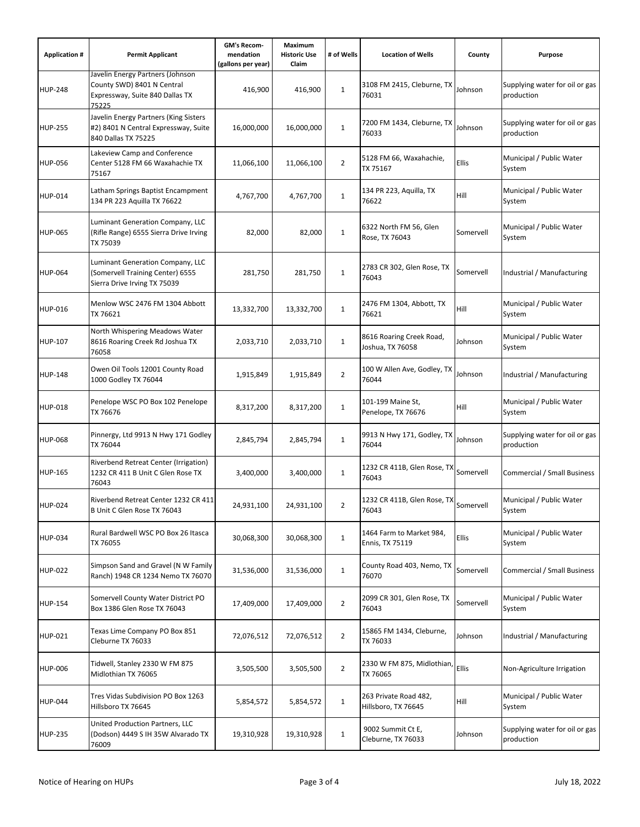| <b>Application #</b> | <b>Permit Applicant</b>                                                                                    | GM's Recom-<br>mendation<br>(gallons per year) | Maximum<br><b>Historic Use</b><br>Claim | # of Wells     | <b>Location of Wells</b>                     | County    | Purpose                                      |
|----------------------|------------------------------------------------------------------------------------------------------------|------------------------------------------------|-----------------------------------------|----------------|----------------------------------------------|-----------|----------------------------------------------|
| <b>HUP-248</b>       | Javelin Energy Partners (Johnson<br>County SWD) 8401 N Central<br>Expressway, Suite 840 Dallas TX<br>75225 | 416,900                                        | 416,900                                 | $\mathbf 1$    | 3108 FM 2415, Cleburne, TX<br>76031          | Johnson   | Supplying water for oil or gas<br>production |
| <b>HUP-255</b>       | Javelin Energy Partners (King Sisters<br>#2) 8401 N Central Expressway, Suite<br>840 Dallas TX 75225       | 16,000,000                                     | 16,000,000                              | $\mathbf{1}$   | 7200 FM 1434, Cleburne, TX<br>76033          | Johnson   | Supplying water for oil or gas<br>production |
| <b>HUP-056</b>       | Lakeview Camp and Conference<br>Center 5128 FM 66 Waxahachie TX<br>75167                                   | 11,066,100                                     | 11,066,100                              | 2              | 5128 FM 66, Waxahachie,<br>TX 75167          | Ellis     | Municipal / Public Water<br>System           |
| <b>HUP-014</b>       | Latham Springs Baptist Encampment<br>134 PR 223 Aquilla TX 76622                                           | 4,767,700                                      | 4,767,700                               | $\mathbf 1$    | 134 PR 223, Aquilla, TX<br>76622             | Hill      | Municipal / Public Water<br>System           |
| <b>HUP-065</b>       | Luminant Generation Company, LLC<br>(Rifle Range) 6555 Sierra Drive Irving<br>TX 75039                     | 82,000                                         | 82,000                                  | $\mathbf{1}$   | 6322 North FM 56, Glen<br>Rose, TX 76043     | Somervell | Municipal / Public Water<br>System           |
| <b>HUP-064</b>       | Luminant Generation Company, LLC<br>(Somervell Training Center) 6555<br>Sierra Drive Irving TX 75039       | 281,750                                        | 281,750                                 | $\mathbf 1$    | 2783 CR 302, Glen Rose, TX<br>76043          | Somervell | Industrial / Manufacturing                   |
| <b>HUP-016</b>       | Menlow WSC 2476 FM 1304 Abbott<br>TX 76621                                                                 | 13,332,700                                     | 13,332,700                              | $\mathbf{1}$   | 2476 FM 1304, Abbott, TX<br>76621            | Hill      | Municipal / Public Water<br>System           |
| <b>HUP-107</b>       | North Whispering Meadows Water<br>8616 Roaring Creek Rd Joshua TX<br>76058                                 | 2,033,710                                      | 2,033,710                               | $\mathbf{1}$   | 8616 Roaring Creek Road,<br>Joshua, TX 76058 | Johnson   | Municipal / Public Water<br>System           |
| <b>HUP-148</b>       | Owen Oil Tools 12001 County Road<br>1000 Godley TX 76044                                                   | 1,915,849                                      | 1,915,849                               | $\overline{2}$ | 100 W Allen Ave, Godley, TX<br>76044         | Johnson   | Industrial / Manufacturing                   |
| <b>HUP-018</b>       | Penelope WSC PO Box 102 Penelope<br>TX 76676                                                               | 8,317,200                                      | 8,317,200                               | $\mathbf{1}$   | 101-199 Maine St,<br>Penelope, TX 76676      | Hill      | Municipal / Public Water<br>System           |
| <b>HUP-068</b>       | Pinnergy, Ltd 9913 N Hwy 171 Godley<br>TX 76044                                                            | 2,845,794                                      | 2,845,794                               | $\mathbf 1$    | 9913 N Hwy 171, Godley, TX<br>76044          | Johnson   | Supplying water for oil or gas<br>production |
| <b>HUP-165</b>       | Riverbend Retreat Center (Irrigation)<br>1232 CR 411 B Unit C Glen Rose TX<br>76043                        | 3,400,000                                      | 3,400,000                               | $\mathbf 1$    | 1232 CR 411B, Glen Rose, TX<br>76043         | Somervell | Commercial / Small Business                  |
| <b>HUP-024</b>       | Riverbend Retreat Center 1232 CR 411<br>B Unit C Glen Rose TX 76043                                        | 24,931,100                                     | 24,931,100                              | $\overline{2}$ | 1232 CR 411B, Glen Rose, TX<br>76043         | Somervell | Municipal / Public Water<br>System           |
| <b>HUP-034</b>       | Rural Bardwell WSC PO Box 26 Itasca<br>TX 76055                                                            | 30,068,300                                     | 30,068,300                              | $\mathbf{1}$   | 1464 Farm to Market 984,<br>Ennis, TX 75119  | Ellis     | Municipal / Public Water<br>System           |
| <b>HUP-022</b>       | Simpson Sand and Gravel (N W Family<br>Ranch) 1948 CR 1234 Nemo TX 76070                                   | 31,536,000                                     | 31,536,000                              | $\mathbf{1}$   | County Road 403, Nemo, TX<br>76070           | Somervell | Commercial / Small Business                  |
| <b>HUP-154</b>       | Somervell County Water District PO<br>Box 1386 Glen Rose TX 76043                                          | 17,409,000                                     | 17,409,000                              | $\overline{2}$ | 2099 CR 301, Glen Rose, TX<br>76043          | Somervell | Municipal / Public Water<br>System           |
| <b>HUP-021</b>       | Texas Lime Company PO Box 851<br>Cleburne TX 76033                                                         | 72,076,512                                     | 72,076,512                              | $\overline{2}$ | 15865 FM 1434, Cleburne,<br>TX 76033         | Johnson   | Industrial / Manufacturing                   |
| HUP-006              | Tidwell, Stanley 2330 W FM 875<br>Midlothian TX 76065                                                      | 3,505,500                                      | 3,505,500                               | $\overline{2}$ | 2330 W FM 875, Midlothian,<br>TX 76065       | Ellis     | Non-Agriculture Irrigation                   |
| <b>HUP-044</b>       | Tres Vidas Subdivision PO Box 1263<br>Hillsboro TX 76645                                                   | 5,854,572                                      | 5,854,572                               | $\mathbf 1$    | 263 Private Road 482,<br>Hillsboro, TX 76645 | Hill      | Municipal / Public Water<br>System           |
| <b>HUP-235</b>       | United Production Partners, LLC<br>(Dodson) 4449 S IH 35W Alvarado TX<br>76009                             | 19,310,928                                     | 19,310,928                              | $\mathbf{1}$   | 9002 Summit Ct E,<br>Cleburne, TX 76033      | Johnson   | Supplying water for oil or gas<br>production |